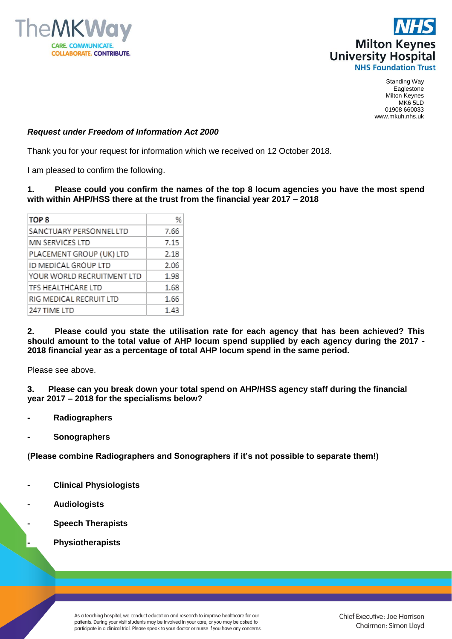



Standing Way Eaglestone Milton Keynes MK6 5LD 01908 660033 www.mkuh.nhs.uk

## *Request under Freedom of Information Act 2000*

Thank you for your request for information which we received on 12 October 2018.

I am pleased to confirm the following.

## **1. Please could you confirm the names of the top 8 locum agencies you have the most spend with within AHP/HSS there at the trust from the financial year 2017 – 2018**

| TOP <sub>8</sub>           | %    |
|----------------------------|------|
| SANCTUARY PERSONNEL LTD    | 7.66 |
| MN SERVICES LTD            | 7.15 |
| PLACEMENT GROUP (UK) LTD   | 2.18 |
| ID MEDICAL GROUP LTD       | 2.06 |
| YOUR WORLD RECRUITMENT LTD | 1.98 |
| <b>TFS HEALTHCARE LTD</b>  | 1.68 |
| RIG MEDICAL RECRUIT LTD    | 1.66 |
| 247 TIME LTD               | 1.43 |

**2. Please could you state the utilisation rate for each agency that has been achieved? This should amount to the total value of AHP locum spend supplied by each agency during the 2017 - 2018 financial year as a percentage of total AHP locum spend in the same period.**

Please see above.

**3. Please can you break down your total spend on AHP/HSS agency staff during the financial year 2017 – 2018 for the specialisms below?**

- **- Radiographers**
- **- Sonographers**

**(Please combine Radiographers and Sonographers if it's not possible to separate them!)**

- **- Clinical Physiologists**
- **- Audiologists**
- **- Speech Therapists**
- **- Physiotherapists**

As a teaching hospital, we conduct education and research to improve healthcare for our patients. During your visit students may be involved in your care, or you may be asked to participate in a clinical trial. Please speak to your doctor or nurse if you have any concerns.